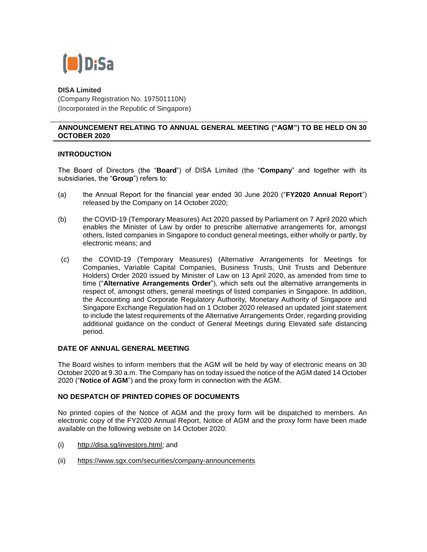

**DISA Limited** (Company Registration No. 197501110N) (Incorporated in the Republic of Singapore)

## **ANNOUNCEMENT RELATING TO ANNUAL GENERAL MEETING ("AGM") TO BE HELD ON 30 OCTOBER 2020**

# **INTRODUCTION**

The Board of Directors (the "**Board**") of DISA Limited (the "**Company**" and together with its subsidiaries, the "**Group**") refers to:

- (a) the Annual Report for the financial year ended 30 June 2020 ("**FY2020 Annual Report**") released by the Company on 14 October 2020;
- (b) the COVID-19 (Temporary Measures) Act 2020 passed by Parliament on 7 April 2020 which enables the Minister of Law by order to prescribe alternative arrangements for, amongst others, listed companies in Singapore to conduct general meetings, either wholly or partly, by electronic means; and
- (c) the COVID-19 (Temporary Measures) (Alternative Arrangements for Meetings for Companies, Variable Capital Companies, Business Trusts, Unit Trusts and Debenture Holders) Order 2020 issued by Minister of Law on 13 April 2020, as amended from time to time ("**Alternative Arrangements Order**"), which sets out the alternative arrangements in respect of, amongst others, general meetings of listed companies in Singapore. In addition, the Accounting and Corporate Regulatory Authority, Monetary Authority of Singapore and Singapore Exchange Regulation had on 1 October 2020 released an updated joint statement to include the latest requirements of the Alternative Arrangements Order, regarding providing additional guidance on the conduct of General Meetings during Elevated safe distancing period.

## **DATE OF ANNUAL GENERAL MEETING**

The Board wishes to inform members that the AGM will be held by way of electronic means on 30 October 2020 at 9.30 a.m. The Company has on today issued the notice of the AGM dated 14 October 2020 ("**Notice of AGM**") and the proxy form in connection with the AGM.

## **NO DESPATCH OF PRINTED COPIES OF DOCUMENTS**

No printed copies of the Notice of AGM and the proxy form will be dispatched to members. An electronic copy of the FY2020 Annual Report, Notice of AGM and the proxy form have been made available on the following website on 14 October 2020:

- (i) [http://disa.sg/investors.html;](http://disa.sg/investors.html) and
- (ii) <https://www.sgx.com/securities/company-announcements>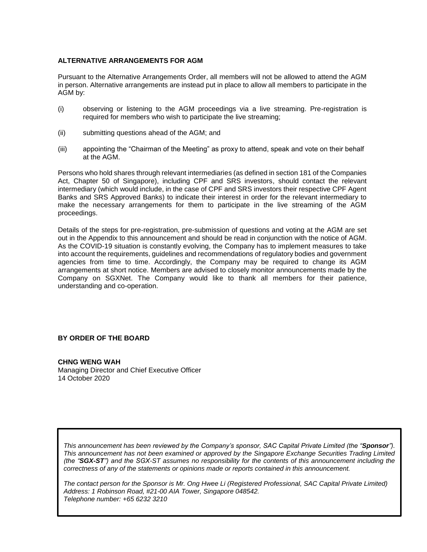#### **ALTERNATIVE ARRANGEMENTS FOR AGM**

Pursuant to the Alternative Arrangements Order, all members will not be allowed to attend the AGM in person. Alternative arrangements are instead put in place to allow all members to participate in the AGM by:

- (i) observing or listening to the AGM proceedings via a live streaming. Pre-registration is required for members who wish to participate the live streaming;
- (ii) submitting questions ahead of the AGM; and
- (iii) appointing the "Chairman of the Meeting" as proxy to attend, speak and vote on their behalf at the AGM.

Persons who hold shares through relevant intermediaries (as defined in section 181 of the Companies Act, Chapter 50 of Singapore), including CPF and SRS investors, should contact the relevant intermediary (which would include, in the case of CPF and SRS investors their respective CPF Agent Banks and SRS Approved Banks) to indicate their interest in order for the relevant intermediary to make the necessary arrangements for them to participate in the live streaming of the AGM proceedings.

Details of the steps for pre-registration, pre-submission of questions and voting at the AGM are set out in the Appendix to this announcement and should be read in conjunction with the notice of AGM. As the COVID-19 situation is constantly evolving, the Company has to implement measures to take into account the requirements, guidelines and recommendations of regulatory bodies and government agencies from time to time. Accordingly, the Company may be required to change its AGM arrangements at short notice. Members are advised to closely monitor announcements made by the Company on SGXNet. The Company would like to thank all members for their patience, understanding and co-operation.

# **BY ORDER OF THE BOARD**

**CHNG WENG WAH**  Managing Director and Chief Executive Officer 14 October 2020

*This announcement has been reviewed by the Company's sponsor, SAC Capital Private Limited (the "Sponsor"). This announcement has not been examined or approved by the Singapore Exchange Securities Trading Limited (the "SGX-ST") and the SGX-ST assumes no responsibility for the contents of this announcement including the correctness of any of the statements or opinions made or reports contained in this announcement.* 

*The contact person for the Sponsor is Mr. Ong Hwee Li (Registered Professional, SAC Capital Private Limited) Address: 1 Robinson Road, #21-00 AIA Tower, Singapore 048542. Telephone number: +65 6232 3210*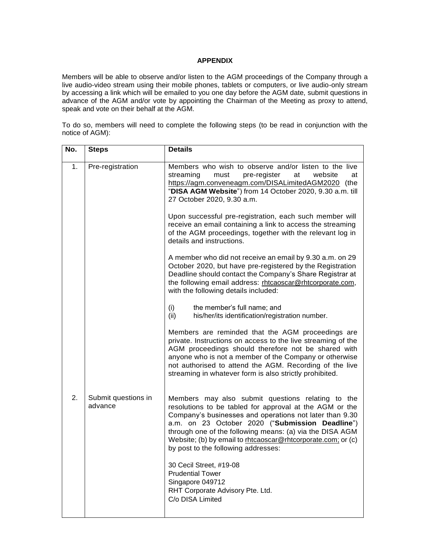## **APPENDIX**

Members will be able to observe and/or listen to the AGM proceedings of the Company through a live audio-video stream using their mobile phones, tablets or computers, or live audio-only stream by accessing a link which will be emailed to you one day before the AGM date, submit questions in advance of the AGM and/or vote by appointing the Chairman of the Meeting as proxy to attend, speak and vote on their behalf at the AGM.

To do so, members will need to complete the following steps (to be read in conjunction with the notice of AGM):

| No. | <b>Steps</b>                   | <b>Details</b>                                                                                                                                                                                                                                                                                                                                                                                |
|-----|--------------------------------|-----------------------------------------------------------------------------------------------------------------------------------------------------------------------------------------------------------------------------------------------------------------------------------------------------------------------------------------------------------------------------------------------|
| 1.  | Pre-registration               | Members who wish to observe and/or listen to the live<br>streaming<br>must<br>pre-register<br>at<br>website<br>at<br>https://agm.conveneagm.com/DISALimitedAGM2020 (the<br>"DISA AGM Website") from 14 October 2020, 9.30 a.m. till<br>27 October 2020, 9.30 a.m.                                                                                                                             |
|     |                                | Upon successful pre-registration, each such member will<br>receive an email containing a link to access the streaming<br>of the AGM proceedings, together with the relevant log in<br>details and instructions.                                                                                                                                                                               |
|     |                                | A member who did not receive an email by 9.30 a.m. on 29<br>October 2020, but have pre-registered by the Registration<br>Deadline should contact the Company's Share Registrar at<br>the following email address: rhtcaoscar@rhtcorporate.com,<br>with the following details included:                                                                                                        |
|     |                                | (i)<br>the member's full name; and<br>(ii)<br>his/her/its identification/registration number.                                                                                                                                                                                                                                                                                                 |
|     |                                | Members are reminded that the AGM proceedings are<br>private. Instructions on access to the live streaming of the<br>AGM proceedings should therefore not be shared with<br>anyone who is not a member of the Company or otherwise<br>not authorised to attend the AGM. Recording of the live<br>streaming in whatever form is also strictly prohibited.                                      |
| 2.  | Submit questions in<br>advance | Members may also submit questions relating to the<br>resolutions to be tabled for approval at the AGM or the<br>Company's businesses and operations not later than 9.30<br>a.m. on 23 October 2020 ("Submission Deadline")<br>through one of the following means: (a) via the DISA AGM<br>Website; (b) by email to rhtcaoscar@rhtcorporate.com; or (c)<br>by post to the following addresses: |
|     |                                | 30 Cecil Street, #19-08<br><b>Prudential Tower</b><br>Singapore 049712<br>RHT Corporate Advisory Pte. Ltd.<br>C/o DISA Limited                                                                                                                                                                                                                                                                |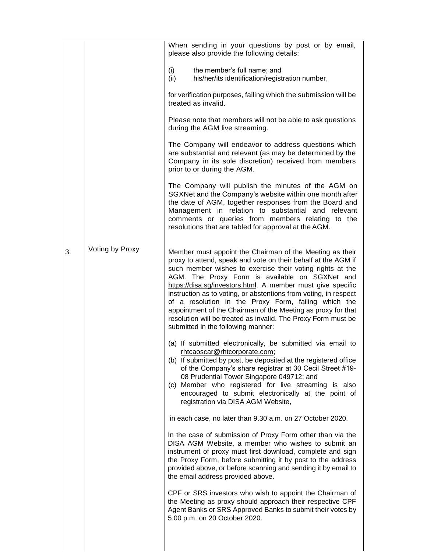|    |                 | When sending in your questions by post or by email,<br>please also provide the following details:                                                                                                                                                                                                                                                                                                                                                                                                                                                                                                          |
|----|-----------------|------------------------------------------------------------------------------------------------------------------------------------------------------------------------------------------------------------------------------------------------------------------------------------------------------------------------------------------------------------------------------------------------------------------------------------------------------------------------------------------------------------------------------------------------------------------------------------------------------------|
|    |                 | (i)<br>the member's full name; and<br>his/her/its identification/registration number,<br>(ii)                                                                                                                                                                                                                                                                                                                                                                                                                                                                                                              |
|    |                 | for verification purposes, failing which the submission will be<br>treated as invalid.                                                                                                                                                                                                                                                                                                                                                                                                                                                                                                                     |
|    |                 | Please note that members will not be able to ask questions<br>during the AGM live streaming.                                                                                                                                                                                                                                                                                                                                                                                                                                                                                                               |
|    |                 | The Company will endeavor to address questions which<br>are substantial and relevant (as may be determined by the<br>Company in its sole discretion) received from members<br>prior to or during the AGM.                                                                                                                                                                                                                                                                                                                                                                                                  |
|    |                 | The Company will publish the minutes of the AGM on<br>SGXNet and the Company's website within one month after<br>the date of AGM, together responses from the Board and<br>Management in relation to substantial and relevant<br>comments or queries from members relating to the<br>resolutions that are tabled for approval at the AGM.                                                                                                                                                                                                                                                                  |
| 3. | Voting by Proxy | Member must appoint the Chairman of the Meeting as their<br>proxy to attend, speak and vote on their behalf at the AGM if<br>such member wishes to exercise their voting rights at the<br>AGM. The Proxy Form is available on SGXNet and<br>https://disa.sg/investors.html. A member must give specific<br>instruction as to voting, or abstentions from voting, in respect<br>of a resolution in the Proxy Form, failing which the<br>appointment of the Chairman of the Meeting as proxy for that<br>resolution will be treated as invalid. The Proxy Form must be<br>submitted in the following manner: |
|    |                 | (a) If submitted electronically, be submitted via email to<br>rhtcaoscar@rhtcorporate.com;<br>(b) If submitted by post, be deposited at the registered office<br>of the Company's share registrar at 30 Cecil Street #19-<br>08 Prudential Tower Singapore 049712; and<br>(c) Member who registered for live streaming is also<br>encouraged to submit electronically at the point of<br>registration via DISA AGM Website,                                                                                                                                                                                |
|    |                 | in each case, no later than 9.30 a.m. on 27 October 2020.                                                                                                                                                                                                                                                                                                                                                                                                                                                                                                                                                  |
|    |                 | In the case of submission of Proxy Form other than via the<br>DISA AGM Website, a member who wishes to submit an<br>instrument of proxy must first download, complete and sign<br>the Proxy Form, before submitting it by post to the address<br>provided above, or before scanning and sending it by email to<br>the email address provided above.                                                                                                                                                                                                                                                        |
|    |                 | CPF or SRS investors who wish to appoint the Chairman of<br>the Meeting as proxy should approach their respective CPF<br>Agent Banks or SRS Approved Banks to submit their votes by<br>5.00 p.m. on 20 October 2020.                                                                                                                                                                                                                                                                                                                                                                                       |
|    |                 |                                                                                                                                                                                                                                                                                                                                                                                                                                                                                                                                                                                                            |